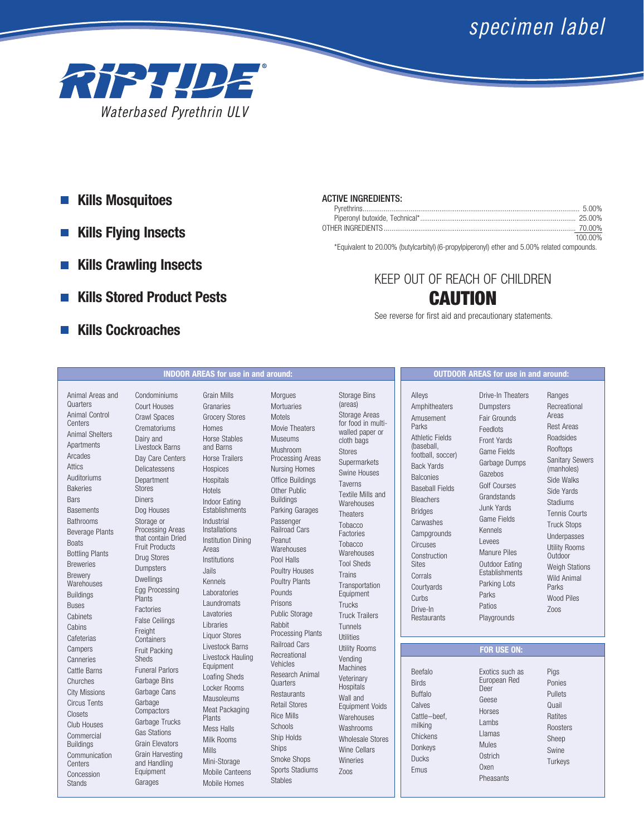# *specimen label*



- **Kills Mosquitoes**
- **Kills Flying Insects**  $\mathcal{L}_{\mathcal{A}}$
- **Kills Crawling Insects**
- **Kills Stored Product Pests**
- **Kills Cockroaches**

# ACTIVE INGREDIENTS:

| 100 00% |
|---------|

\*Equivalent to 20.00% (butylcarbityl) (6-propylpiperonyl) ether and 5.00% related compounds.

# KEEP OUT OF REACH OF CHILDREN **CAUTION**

See reverse for first aid and precautionary statements.

# **INDOOR AREAS for use in and around: OUTDOOR AREAS for use in and around:**

Animal Areas and **Quarters** Animal Control **Centers** Animal Shelters **Apartments** Arcades Attics Auditoriums Bakeries **Bars Basements** Bathrooms Beverage Plants **Boats** Bottling Plants **Breweries** Brewery **Warehouses** Buildings Buses **Cabinets Cabins Cafeterias** Campers Canneries Cattle Barns Churches City Missions Circus Tents Closets Club Houses Commercial Buildings Communication **Centers** Concession Stands

Condominiums Court Houses Crawl Spaces Crematoriums Dairy and Livestock Barns Day Care Centers Delicatessens Department Stores Diners Dog Houses Storage or Processing Areas that contain Dried Fruit Products Drug Stores **Dumpsters** Dwellings Egg Processing **Plants** Factories False Ceilings Freight **Containers** Fruit Packing Sheds Funeral Parlors Garbage Bins Garbage Cans Garbage **Compactors** Garbage Trucks Gas Stations Grain Elevators Grain Harvesting and Handling Equipment Garages

Grain Mills Granaries Grocery Stores Homes Horse Stables and Barns Horse Trailers **Hospices** Hospitals Hotels Indoor Eating **Establishments** Industrial Installations Institution Dining Areas Institutions Jails Kennels Laboratories Laundromats Lavatories Libraries Liquor Stores Livestock Barns Livestock Hauling Equipment Loafing Sheds Locker Rooms Mausoleums Meat Packaging Plants Mess Halls Milk Rooms Mills Mini-Storage Mobile Canteens Mobile Homes

Morgues Mortuaries Motels Movie Theaters Museums Mushroom Processing Areas Nursing Homes Office Buildings Other Public Buildings Parking Garages Passenger Railroad Cars Peanut Warehouses Pool Halls Poultry Houses Poultry Plants Pounds Prisons Public Storage Rabbit Processing Plants Railroad Cars Recreational Vehicles Research Animal **Quarters Restaurants** Retail Stores Rice Mills **Schools** Ship Holds Ships Smoke Shops Sports Stadiums Stables

Storage Bins (areas) Storage Areas for food in multiwalled paper or cloth bags Stores **Supermarkets** Swine Houses Taverns Textile Mills and **Warehouses Theaters** Tobacco Factories Tobacco **Warehouses** Tool Sheds Trains Transportation Equipment Trucks Truck Trailers Tunnels Utilities Utility Rooms Vending Machines Veterinary Hospitals Wall and Equipment Voids Warehouses Washrooms Wholesale Stores Wine Cellars Wineries Zoos

Alleys Amphitheaters Amusement Parks Athletic Fields (baseball, football, soccer) Back Yards Balconies Baseball Fields Bleachers Bridges Carwashes **Campgrounds** Circuses Construction **Sites** Corrals Courtyards Curbs Drive-In **Restaurants** 

Beefalo Birds Buffalo **Calves** 

milking **Chickens** Donkeys Ducks Emus

Drive-In Theaters Dumpsters Fair Grounds Feedlots Front Yards Game Fields Garbage Dumps Gazebos Golf Courses Grandstands Junk Yards Game Fields Kennels Levees Manure Piles Outdoor Eating **Establishments** Parking Lots Parks Patios Playgrounds

Ranges Recreational Areas Rest Areas Roadsides Rooftops Sanitary Sewers (manholes) Side Walks Side Yards Stadiums Tennis Courts Truck Stops Underpasses Utility Rooms Outdoor Weigh Stations Wild Animal Parks Wood Piles Zoos

# **FOR USE ON:**

Cattle–beef, Exotics such as European Red Deer Geese Horses Lambs Llamas Mules **Ostrich Oxen** Pheasants Pigs Ponies Pullets Quail Ratites Roosters Sheep Swine **Turkeys**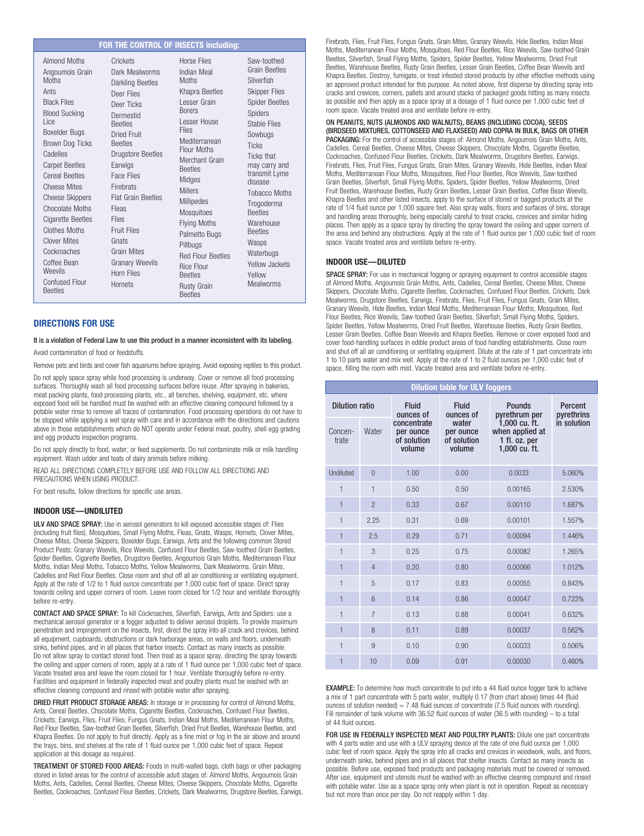# **FOR THE CONTROL OF INSECTS including:**

### **DIRECTIONS FOR USE**

# It is a violation of Federal Law to use this product in a manner inconsistent with its labeling.

Avoid contamination of food or feedstuffs.

Remove pets and birds and cover fish aquariums before spraying. Avoid exposing reptiles to this product.

Do not apply space spray while food processing is underway. Cover or remove all food processing surfaces. Thoroughly wash all food processing surfaces before reuse. After spraying in bakeries, meat packing plants, food processing plants, etc., all benches, shelving, equipment, etc. where exposed food will be handled must be washed with an effective cleaning compound followed by a potable water rinse to remove all traces of contamination. Food processing operations do not have to be stopped while applying a wet spray with care and in accordance with the directions and cautions above in those establishments which do NOT operate under Federal meat, poultry, shell egg grading and egg products inspection programs.

Do not apply directly to food, water, or feed supplements. Do not contaminate milk or milk handling equipment. Wash udder and teats of dairy animals before milking.

READ ALL DIRECTIONS COMPLETELY BEFORE USE AND FOLLOW ALL DIRECTIONS AND PRECAUTIONS WHEN USING PRODUCT.

For best results, follow directions for specific use areas.

#### **INDOOR USE—UNDILUTED**

ULV AND SPACE SPRAY: Use in aerosol generators to kill exposed accessible stages of: Flies (including fruit flies), Mosquitoes, Small Flying Moths, Fleas, Gnats, Wasps, Hornets, Clover Mites, Cheese Mites, Cheese Skippers, Boxelder Bugs, Earwigs, Ants and the following common Stored Product Pests: Granary Weevils, Rice Weevils, Confused Flour Beetles, Saw-toothed Grain Beetles, Spider Beetles, Cigarette Beetles, Drugstore Beetles, Angoumois Grain Moths, Mediterranean Flour Moths, Indian Meal Moths, Tobacco Moths, Yellow Mealworms, Dark Mealworms, Grain Mites, Cadelles and Red Flour Beetles. Close room and shut off all air conditioning or ventilating equipment. Apply at the rate of 1/2 to 1 fluid ounce concentrate per 1,000 cubic feet of space. Direct spray towards ceiling and upper corners of room. Leave room closed for 1/2 hour and ventilate thoroughly before re-entry.

CONTACT AND SPACE SPRAY: To kill Cockroaches, Silverfish, Earwigs, Ants and Spiders: use a mechanical aerosol generator or a fogger adjusted to deliver aerosol droplets. To provide maximum penetration and impingement on the insects, first, direct the spray into all crack and crevices, behind all equipment, cupboards, obstructions or dark harborage areas, on walls and floors, underneath sinks, behind pipes, and in all places that harbor insects. Contact as many insects as possible. Do not allow spray to contact stored food. Then treat as a space spray, directing the spray towards the ceiling and upper corners of room, apply at a rate of 1 fluid ounce per 1,000 cubic feet of space. Vacate treated area and leave the room closed for 1 hour. Ventilate thoroughly before re-entry. Facilities and equipment in federally inspected meat and poultry plants must be washed with an effective cleaning compound and rinsed with potable water after spraying.

DRIED FRUIT PRODUCT STORAGE AREAS: In storage or in processing for control of Almond Moths, Ants, Cereal Beetles, Chocolate Moths, Cigarette Beetles, Cockroaches, Confused Flour Beetles, Crickets, Earwigs, Flies, Fruit Flies, Fungus Gnats, Indian Meal Moths, Mediterranean Flour Moths, Red Flour Beetles, Saw-toothed Grain Beetles, Silverfish, Dried Fruit Beetles, Warehouse Beetles, and Khapra Beetles. Do not apply to fruit directly. Apply as a fine mist or fog in the air above and around the trays, bins, and shelves at the rate of 1 fluid ounce per 1,000 cubic feet of space. Repeat application at this dosage as required.

TREATMENT OF STORED FOOD AREAS: Foods in multi-walled bags, cloth bags or other packaging stored in listed areas for the control of accessible adult stages of: Almond Moths, Angoumois Grain Moths, Ants, Cadelles, Cereal Beetles, Cheese Mites, Cheese Skippers, Chocolate Moths, Cigarette Beetles, Cockroaches, Confused Flour Beetles, Crickets, Dark Mealworms, Drugstore Beetles, Earwigs, Firebrats, Flies, Fruit Flies, Fungus Gnats, Grain Mites, Granary Weevils, Hide Beetles, Indian Meal Moths, Mediterranean Flour Moths, Mosquitoes, Red Flour Beetles, Rice Weevils, Saw-toothed Grain Beetles, Silverfish, Small Flying Moths, Spiders, Spider Beetles, Yellow Mealworms, Dried Fruit Beetles, Warehouse Beetles, Rusty Grain Beetles, Lesser Grain Beetles, Coffee Bean Weevils and Khapra Beetles. Destroy, fumigate, or treat infested stored products by other effective methods using an approved product intended for this purpose. As noted above, first disperse by directing spray into cracks and crevices, corners, pallets and around stacks of packaged goods hitting as many insects as possible and then apply as a space spray at a dosage of 1 fluid ounce per 1,000 cubic feet of room space. Vacate treated area and ventilate before re-entry.

ON PEANUTS, NUTS (ALMONDS AND WALNUTS), BEANS (INCLUDING COCOA), SEEDS (BIRDSEED MIXTURES, COTTONSEED AND FLAXSEED) AND COPRA IN BULK, BAGS OR OTHER PACKAGING: For the control of accessible stages of: Almond Moths, Angoumois Grain Moths, Ants, Cadelles, Cereal Beetles, Cheese Mites, Cheese Skippers, Chocolate Moths, Cigarette Beetles, Cockroaches, Confused Flour Beetles, Crickets, Dark Mealworms, Drugstore Beetles, Earwigs, Firebrats, Flies, Fruit Flies, Fungus Gnats, Grain Mites, Granary Weevils, Hide Beetles, Indian Meal Moths, Mediterranean Flour Moths, Mosquitoes, Red Flour Beetles, Rice Weevils, Saw-toothed Grain Beetles, Silverfish, Small Flying Moths, Spiders, Spider Beetles, Yellow Mealworms, Dried Fruit Beetles, Warehouse Beetles, Rusty Grain Beetles, Lesser Grain Beetles, Coffee Bean Weevils, Khapra Beetles and other listed insects, apply to the surface of stored or bagged products at the rate of 1/4 fluid ounce per 1,000 square feet. Also spray walls, floors and surfaces of bins, storage and handling areas thoroughly, being especially careful to treat cracks, crevices and similar hiding places. Then apply as a space spray by directing the spray toward the ceiling and upper corners of the area and behind any obstructions. Apply at the rate of 1 fluid ounce per 1,000 cubic feet of room space. Vacate treated area and ventilate before re-entry.

## **INDOOR USE—DILUTED**

SPACE SPRAY: For use in mechanical fogging or spraying equipment to control accessible stages of Almond Moths, Angoumois Grain Moths, Ants, Cadelles, Cereal Beetles, Cheese Mites, Cheese Skippers, Chocolate Moths, Cigarette Beetles, Cockroaches, Confused Flour Beetles, Crickets, Dark Mealworms, Drugstore Beetles, Earwigs, Firebrats, Flies, Fruit Flies, Fungus Gnats, Grain Mites, Granary Weevils, Hide Beetles, Indian Meal Moths, Mediterranean Flour Moths, Mosquitoes, Red Flour Beetles, Rice Weevils, Saw-toothed Grain Beetles, Silverfish, Small Flying Moths, Spiders, Spider Beetles, Yellow Mealworms, Dried Fruit Beetles, Warehouse Beetles, Rusty Grain Beetles, Lesser Grain Beetles, Coffee Bean Weevils and Khapra Beetles. Remove or cover exposed food and cover food-handling surfaces in edible product areas of food handling establishments. Close room and shut off all air conditioning or ventilating equipment. Dilute at the rate of 1 part concentrate into 1 to 10 parts water and mix well. Apply at the rate of 1 to 2 fluid ounces per 1,000 cubic feet of space, filling the room with mist. Vacate treated area and ventilate before re-entry.

**Dilution table for ULV foggers**

|  | <b>Dilution ratio</b> |                | <b>Fluid</b><br>ounces of                         | <b>Fluid</b><br>ounces of                   | <b>Pounds</b><br>pyrethrum per                                     | Percent<br>pyrethrins |
|--|-----------------------|----------------|---------------------------------------------------|---------------------------------------------|--------------------------------------------------------------------|-----------------------|
|  | Concen-<br>trate      | Water          | concentrate<br>per ounce<br>of solution<br>volume | water<br>per ounce<br>of solution<br>volume | 1,000 cu. ft.<br>when applied at<br>1 fl. oz. per<br>1,000 cu. ft. | in solution           |
|  | Undiluted             | $\overline{0}$ | 1.00                                              | 0.00                                        | 0.0033                                                             | 5.060%                |
|  | 1                     | 1              | 0.50                                              | 0.50                                        | 0.00165                                                            | 2.530%                |
|  | $\mathbf{1}$          | $\overline{a}$ | 0.33                                              | 0.67                                        | 0.00110                                                            | 1.687%                |
|  | $\mathbf{1}$          | 2.25           | 0.31                                              | 0.69                                        | 0.00101                                                            | 1.557%                |
|  | $\mathbf{1}$          | 2.5            | 0.29                                              | 0.71                                        | 0.00094                                                            | 1.446%                |
|  | 1                     | 3              | 0.25                                              | 0.75                                        | 0.00082                                                            | 1.265%                |
|  | 1                     | $\overline{4}$ | 0.20                                              | 0.80                                        | 0.00066                                                            | 1.012%                |
|  | $\mathbf{1}$          | 5              | 0.17                                              | 0.83                                        | 0.00055                                                            | 0.843%                |
|  | $\mathbf{1}$          | 6              | 0.14                                              | 0.86                                        | 0.00047                                                            | 0.723%                |
|  | $\mathbf{1}$          | $\overline{7}$ | 0.13                                              | 0.88                                        | 0.00041                                                            | 0.632%                |
|  | 1                     | 8              | 0.11                                              | 0.89                                        | 0.00037                                                            | 0.562%                |
|  | 1                     | 9              | 0.10                                              | 0.90                                        | 0.00033                                                            | 0.506%                |
|  | $\mathbf{1}$          | 10             | 0.09                                              | 0.91                                        | 0.00030                                                            | 0.460%                |

**EXAMPLE:** To determine how much concentrate to put into a 44 fluid ounce fogger tank to achieve a mix of 1 part concentrate with 5 parts water, multiply 0.17 (from chart above) times 44 (fluid ounces of solution needed) =  $7.48$  fluid ounces of concentrate (7.5 fluid ounces with rounding). Fill remainder of tank volume with 36.52 fluid ounces of water (36.5 with rounding) – to a total of 44 fluid ounces.

FOR USE IN FEDERALLY INSPECTED MEAT AND POULTRY PLANTS: Dilute one part concentrate with 4 parts water and use with a ULV spraying device at the rate of one fluid ounce per 1,000 cubic feet of room space. Apply the spray into all cracks and crevices in woodwork, walls, and floors, underneath sinks, behind pipes and in all places that shelter insects. Contact as many insects as possible. Before use, exposed food products and packaging materials must be covered or removed. After use, equipment and utensils must be washed with an effective cleaning compound and rinsed with potable water. Use as a space spray only when plant is not in operation. Repeat as necessary but not more than once per day. Do not reapply within 1 day.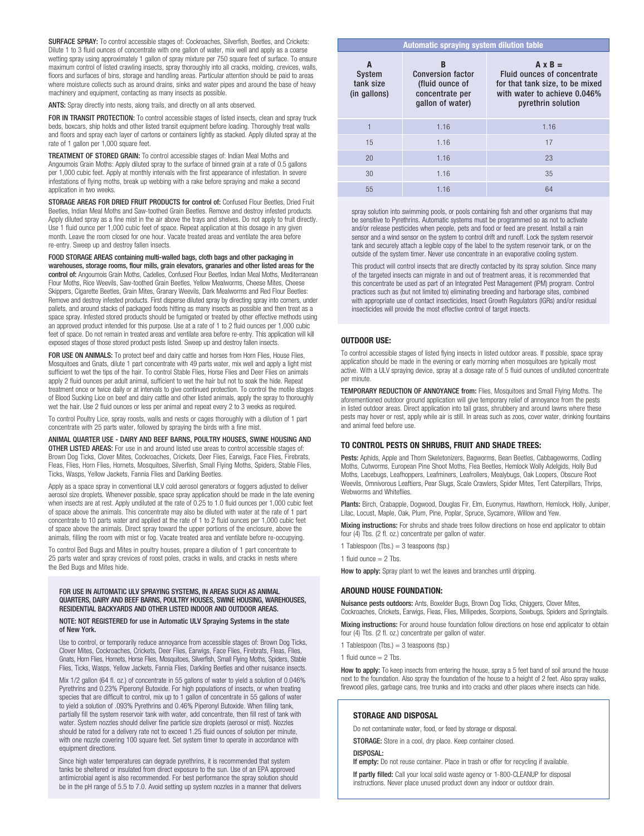SURFACE SPRAY: To control accessible stages of: Cockroaches, Silverfish, Beetles, and Crickets: Dilute 1 to 3 fluid ounces of concentrate with one gallon of water, mix well and apply as a coarse wetting spray using approximately 1 gallon of spray mixture per 750 square feet of surface. To ensure maximum control of listed crawling insects, spray thoroughly into all cracks, molding, crevices, walls, floors and surfaces of bins, storage and handling areas. Particular attention should be paid to areas where moisture collects such as around drains, sinks and water pipes and around the base of heavy machinery and equipment, contacting as many insects as possible.

ANTS: Spray directly into nests, along trails, and directly on all ants observed.

FOR IN TRANSIT PROTECTION: To control accessible stages of listed insects, clean and spray truck beds, boxcars, ship holds and other listed transit equipment before loading. Thoroughly treat walls and floors and spray each layer of cartons or containers lightly as stacked. Apply diluted spray at the rate of 1 gallon per 1,000 square feet.

TREATMENT OF STORED GRAIN: To control accessible stages of: Indian Meal Moths and Angoumois Grain Moths: Apply diluted spray to the surface of binned grain at a rate of 0.5 gallons per 1,000 cubic feet. Apply at monthly intervals with the first appearance of infestation. In severe infestations of flying moths, break up webbing with a rake before spraying and make a second application in two weeks.

STORAGE AREAS FOR DRIED FRUIT PRODUCTS for control of: Confused Flour Beetles, Dried Fruit Beetles, Indian Meal Moths and Saw-toothed Grain Beetles. Remove and destroy infested products. Apply diluted spray as a fine mist in the air above the trays and shelves. Do not apply to fruit directly. Use 1 fluid ounce per 1,000 cubic feet of space. Repeat application at this dosage in any given month. Leave the room closed for one hour. Vacate treated areas and ventilate the area before re-entry. Sweep up and destroy fallen insects.

FOOD STORAGE AREAS containing multi-walled bags, cloth bags and other packaging in warehouses, storage rooms, flour mills, grain elevators, granaries and other listed areas for the control of: Angoumois Grain Moths, Cadelles, Confused Flour Beetles, Indian Meal Moths, Mediterranean Flour Moths, Rice Weevils, Saw-toothed Grain Beetles, Yellow Mealworms, Cheese Mites, Cheese Skippers, Cigarette Beetles, Grain Mites, Granary Weevils, Dark Mealworms and Red Flour Beetles: Remove and destroy infested products. First disperse diluted spray by directing spray into corners, under pallets, and around stacks of packaged foods hitting as many insects as possible and then treat as a space spray. Infested stored products should be fumigated or treated by other effective methods using an approved product intended for this purpose. Use at a rate of 1 to 2 fluid ounces per 1,000 cubic feet of space. Do not remain in treated areas and ventilate area before re-entry. This application will kill exposed stages of those stored product pests listed. Sweep up and destroy fallen insects.

FOR USE ON ANIMALS: To protect beef and dairy cattle and horses from Horn Flies, House Flies, Mosquitoes and Gnats, dilute 1 part concentrate with 49 parts water, mix well and apply a light mist sufficient to wet the tips of the hair. To control Stable Flies, Horse Flies and Deer Flies on animals apply 2 fluid ounces per adult animal, sufficient to wet the hair but not to soak the hide. Repeat treatment once or twice daily or at intervals to give continued protection. To control the motile stages of Blood Sucking Lice on beef and dairy cattle and other listed animals, apply the spray to thoroughly wet the hair. Use 2 fluid ounces or less per animal and repeat every 2 to 3 weeks as required.

To control Poultry Lice, spray roosts, walls and nests or cages thoroughly with a dilution of 1 part concentrate with 25 parts water, followed by spraying the birds with a fine mist.

ANIMAL QUARTER USE - DAIRY AND BEEF BARNS, POULTRY HOUSES, SWINE HOUSING AND OTHER LISTED AREAS: For use in and around listed use areas to control accessible stages of: Brown Dog Ticks, Clover Mites, Cockroaches, Crickets, Deer Flies, Earwigs, Face Flies, Firebrats,

Fleas, Flies, Horn Flies, Hornets, Mosquitoes, Silverfish, Small Flying Moths, Spiders, Stable Flies, Ticks, Wasps, Yellow Jackets, Fannia Flies and Darkling Beetles.

Apply as a space spray in conventional ULV cold aerosol generators or foggers adjusted to deliver aerosol size droplets. Whenever possible, space spray application should be made in the late evening when insects are at rest. Apply undiluted at the rate of 0.25 to 1.0 fluid ounces per 1,000 cubic feet of space above the animals. This concentrate may also be diluted with water at the rate of 1 part concentrate to 10 parts water and applied at the rate of 1 to 2 fluid ounces per 1,000 cubic feet of space above the animals. Direct spray toward the upper portions of the enclosure, above the animals, filling the room with mist or fog. Vacate treated area and ventilate before re-occupying.

To control Bed Bugs and Mites in poultry houses, prepare a dilution of 1 part concentrate to 25 parts water and spray crevices of roost poles, cracks in walls, and cracks in nests where the Bed Bugs and Mites hide.

#### FOR USE IN AUTOMATIC ULV SPRAYING SYSTEMS, IN AREAS SUCH AS ANIMAL QUARTERS, DAIRY AND BEEF BARNS, POULTRY HOUSES, SWINE HOUSING, WAREHOUSES, RESIDENTIAL BACKYARDS AND OTHER LISTED INDOOR AND OUTDOOR AREAS.

#### NOTE: NOT REGISTERED for use in Automatic ULV Spraying Systems in the state of New York.

Use to control, or temporarily reduce annoyance from accessible stages of: Brown Dog Ticks, Clover Mites, Cockroaches, Crickets, Deer Flies, Earwigs, Face Flies, Firebrats, Fleas, Flies, Gnats, Horn Flies, Hornets, Horse Flies, Mosquitoes, Silverfish, Small Flying Moths, Spiders, Stable Flies, Ticks, Wasps, Yellow Jackets, Fannia Flies, Darkling Beetles and other nuisance insects.

Mix 1/2 gallon (64 fl. oz.) of concentrate in 55 gallons of water to yield a solution of 0.046% Pyrethrins and 0.23% Piperonyl Butoxide. For high populations of insects, or when treating species that are difficult to control, mix up to 1 gallon of concentrate in 55 gallons of water to yield a solution of .093% Pyrethrins and 0.46% Piperonyl Butoxide. When filling tank, partially fill the system reservoir tank with water, add concentrate, then fill rest of tank with water. System nozzles should deliver fine particle size droplets (aerosol or mist). Nozzles should be rated for a delivery rate not to exceed 1.25 fluid ounces of solution per minute, with one nozzle covering 100 square feet. Set system timer to operate in accordance with equipment directions.

Since high water temperatures can degrade pyrethrins, it is recommended that system tanks be sheltered or insulated from direct exposure to the sun. Use of an EPA approved antimicrobial agent is also recommended. For best performance the spray solution should be in the pH range of 5.5 to 7.0. Avoid setting up system nozzles in a manner that delivers

|                                          | <b>Automatic spraying system dilution table</b>                                         |                                                                                                                                        |
|------------------------------------------|-----------------------------------------------------------------------------------------|----------------------------------------------------------------------------------------------------------------------------------------|
| A<br>System<br>tank size<br>(in gallons) | B<br><b>Conversion factor</b><br>(fluid ounce of<br>concentrate per<br>qallon of water) | $A \times B =$<br>Fluid ounces of concentrate<br>for that tank size, to be mixed<br>with water to achieve 0.046%<br>pyrethrin solution |
|                                          | 1.16                                                                                    | 1.16                                                                                                                                   |
| 15                                       | 1.16                                                                                    | 17                                                                                                                                     |
| 20                                       | 1.16                                                                                    | 23                                                                                                                                     |
| 30                                       | 1.16                                                                                    | 35                                                                                                                                     |
| 55                                       | 1.16                                                                                    | 64                                                                                                                                     |

spray solution into swimming pools, or pools containing fish and other organisms that may be sensitive to Pyrethrins. Automatic systems must be programmed so as not to activate and/or release pesticides when people, pets and food or feed are present. Install a rain sensor and a wind sensor on the system to control drift and runoff. Lock the system reservoir tank and securely attach a legible copy of the label to the system reservoir tank, or on the outside of the system timer. Never use concentrate in an evaporative cooling system.

This product will control insects that are directly contacted by its spray solution. Since many of the targeted insects can migrate in and out of treatment areas, it is recommended that this concentrate be used as part of an Integrated Pest Management (IPM) program. Control practices such as (but not limited to) eliminating breeding and harborage sites, combined with appropriate use of contact insecticides, Insect Growth Regulators (IGRs) and/or residual insecticides will provide the most effective control of target insects.

## **OUTDOOR USE:**

To control accessible stages of listed flying insects in listed outdoor areas. If possible, space spray application should be made in the evening or early morning when mosquitoes are typically most active. With a ULV spraying device, spray at a dosage rate of 5 fluid ounces of undiluted concentrate per minute.

TEMPORARY REDUCTION OF ANNOYANCE from: Flies, Mosquitoes and Small Flying Moths. The aforementioned outdoor ground application will give temporary relief of annoyance from the pests in listed outdoor areas. Direct application into tall grass, shrubbery and around lawns where these pests may hover or rest, apply while air is still. In areas such as zoos, cover water, drinking fountains and animal feed before use.

#### **TO CONTROL PESTS ON SHRUBS, FRUIT AND SHADE TREES:**

Pests: Aphids, Apple and Thorn Skeletonizers, Bagworms, Bean Beetles, Cabbageworms, Codling Moths, Cutworms, European Pine Shoot Moths, Flea Beetles, Hemlock Wolly Adelgids, Holly Bud Moths, Lacebugs, Leafhoppers, Leafminers, Leafrollers, Mealybugs, Oak Loopers, Obscure Root Weevils, Omnivorous Leaftiers, Pear Slugs, Scale Crawlers, Spider Mites, Tent Caterpillars, Thrips, Webworms and Whiteflies.

Plants: Birch, Crabapple, Dogwood, Douglas Fir, Elm, Euonymus, Hawthorn, Hemlock, Holly, Juniper, Lilac, Locust, Maple, Oak, Plum, Pine, Poplar, Spruce, Sycamore, Willow and Yew.

Mixing instructions: For shrubs and shade trees follow directions on hose end applicator to obtain four (4) Tbs. (2 fl. oz.) concentrate per gallon of water.

1 Tablespoon (Tbs.)  $=$  3 teaspoons (tsp.)

1 fluid ounce  $= 2$  Tbs.

How to apply: Spray plant to wet the leaves and branches until dripping.

#### **AROUND HOUSE FOUNDATION:**

Nuisance pests outdoors: Ants, Boxelder Bugs, Brown Dog Ticks, Chiggers, Clover Mites, Cockroaches, Crickets, Earwigs, Fleas, Flies, Millipedes, Scorpions, Sowbugs, Spiders and Springtails.

Mixing instructions: For around house foundation follow directions on hose end applicator to obtain four (4) Tbs. (2 fl. oz.) concentrate per gallon of water.

1 Tablespoon (Tbs.)  $=$  3 teaspoons (tsp.)

1 fluid ounce  $= 2$  Tbs.

How to apply: To keep insects from entering the house, spray a 5 feet band of soil around the house next to the foundation. Also spray the foundation of the house to a height of 2 feet. Also spray walks, firewood piles, garbage cans, tree trunks and into cracks and other places where insects can hide.

#### **STORAGE AND DISPOSAL**

Do not contaminate water, food, or feed by storage or disposal.

STORAGE: Store in a cool, dry place. Keep container closed.

DISPOSAL:

If empty: Do not reuse container. Place in trash or offer for recycling if available. If partly filled: Call your local solid waste agency or 1-800-CLEANUP for disposal

instructions. Never place unused product down any indoor or outdoor drain.